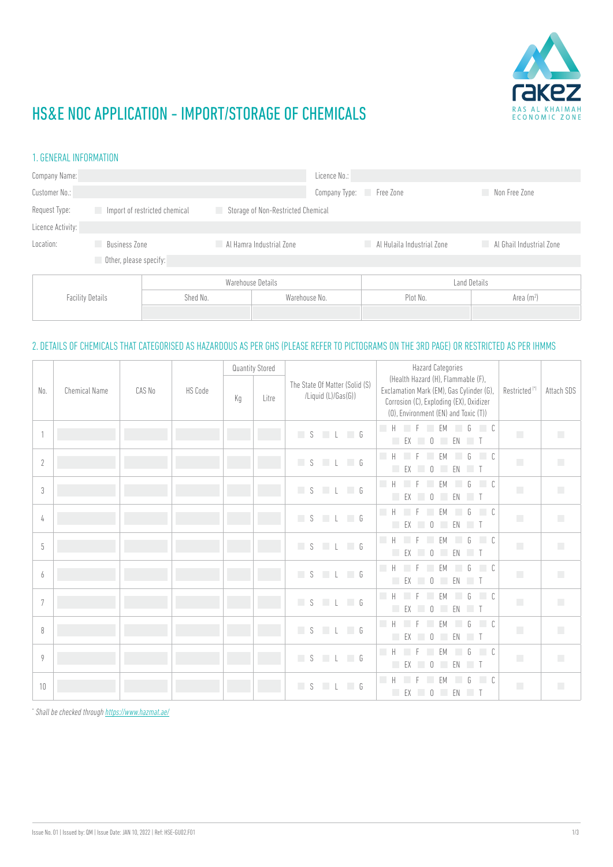

## HS&E NOC APPLICATION - IMPORT/STORAGE OF CHEMICALS

### 1. GENERAL INFORMATION

| Company Name:           |                               |                   | Licence No.:                       |                            |                          |  |
|-------------------------|-------------------------------|-------------------|------------------------------------|----------------------------|--------------------------|--|
| Customer No.:           |                               | Company Type:     | Free Zone                          | Non Free Zone              |                          |  |
| Request Type:           | Import of restricted chemical | L.                | Storage of Non-Restricted Chemical |                            |                          |  |
| Licence Activity:       |                               |                   |                                    |                            |                          |  |
| Location:               | <b>Business Zone</b><br>n.    |                   | Al Hamra Industrial Zone           | Al Hulaila Industrial Zone | Al Ghail Industrial Zone |  |
|                         | Other, please specify:        |                   |                                    |                            |                          |  |
| <b>Facility Details</b> |                               | Warehouse Details |                                    | <b>Land Details</b>        |                          |  |
|                         |                               | Shed No.          | Warehouse No.                      | Plot No.                   | Area $(m2)$              |  |
|                         |                               |                   |                                    |                            |                          |  |

### 2. DETAILS OF CHEMICALS THAT CATEGORISED AS HAZARDOUS AS PER GHS (PLEASE REFER TO PICTOGRAMS ON THE 3RD PAGE) OR RESTRICTED AS PER IHMMS

|              |                      |        |                |    | <b>Quantity Stored</b> |                                                       | <b>Hazard Categories</b>                                                                                                                                          |                             |                             |
|--------------|----------------------|--------|----------------|----|------------------------|-------------------------------------------------------|-------------------------------------------------------------------------------------------------------------------------------------------------------------------|-----------------------------|-----------------------------|
| No.          | <b>Chemical Name</b> | CAS No | <b>HS Code</b> | Kg | Litre                  | The State Of Matter (Solid (S)<br>/Liquid (L)/Gas(G)) | (Health Hazard (H), Flammable (F),<br>Exclamation Mark (EM), Gas Cylinder (G),<br>Corrosion (C), Exploding (EX), Oxidizer<br>(0), Environment (EN) and Toxic (T)) | Restricted <sup>(*)</sup>   | Attach SDS                  |
| $\mathbf{1}$ |                      |        |                |    |                        | $L \Box G$<br>S                                       | $\Box$ H<br>$\Box$ C<br><b>FM</b><br>G<br>EN T<br>П<br>EX<br>$\begin{array}{c} \n\end{array}$                                                                     | T.                          | T.                          |
| $\sqrt{2}$   |                      |        |                |    |                        | $S \cup L \cup G$                                     | <b>Tale</b><br>$\Box$ C<br>$\mathsf{H}$<br>FM<br>G<br>$\mathbf 0$<br>EN<br>k.<br>EX<br>$\blacksquare$                                                             | T.                          | T.                          |
| 3            |                      |        |                |    |                        | S<br>$L \cup G$                                       | H<br>$\Box$ C<br>G<br>FM<br>П<br>$\mathbb{O}$<br>EN T<br>EX<br>u.<br>a a                                                                                          | $\mathcal{L}_{\mathcal{A}}$ | $\overline{\phantom{a}}$    |
| 4            |                      |        |                |    |                        | $L \Box G$<br>S                                       | П<br>ĥ<br>$\overline{C}$<br>H<br>FM<br>П<br>$\begin{array}{c} \n\end{array}$<br>EX<br><b>COL</b><br>EN T                                                          | $\mathcal{L}_{\mathcal{A}}$ | $\mathcal{L}_{\mathcal{A}}$ |
| 5            |                      |        |                |    |                        | $L \Box G$<br>S                                       | $\overline{a}$<br>G<br>$\Box$<br><b>FM</b><br>u.<br>F.<br>a a<br>П<br>EX<br>$\mathbb{O}$<br>EN T                                                                  | T.                          | $\mathcal{L}_{\mathcal{A}}$ |
| 6            |                      |        |                |    |                        | $L \Box G$<br>S                                       | <b>Tale</b><br>$\Box$ C<br>$\mathsf{H}$<br>G<br>FM<br>$\begin{array}{c} \n\end{array}$<br>EN T<br><b>Tale</b><br>EX<br><b>COL</b>                                 | T.                          |                             |
| 7            |                      |        |                |    |                        | $L \Box G$<br>S                                       | $\Box$ C<br>$\int_{1}$<br>H<br>FM<br><b>Tale</b><br>EN T<br>FX<br>$\begin{array}{c} \n\end{array}$<br><b>Tale</b><br>a s                                          | $\mathcal{L}_{\mathcal{A}}$ | $\mathcal{L}_{\mathcal{A}}$ |
| 8            |                      |        |                |    |                        | $S \cup L \cup G$                                     | П<br>$\int_{1}$<br>$\Box$ C<br>Н<br>FM<br>EX<br>$\bigcap$<br>EN<br>$\blacksquare$                                                                                 | $\mathcal{L}_{\mathcal{A}}$ | $\mathcal{L}_{\mathcal{A}}$ |
| 9            |                      |        |                |    |                        | $L \Box G$<br>S                                       | П<br><b>FM</b><br>G<br>$\Box$ C<br>H<br>a a<br>П<br>EX<br>$\begin{array}{c} \n\end{array}$<br>EN T                                                                | T.                          | n                           |
| 10           |                      |        |                |    |                        | S<br>$L \Box G$                                       | п<br>H<br>$\Box$ C<br><b>FM</b><br>G<br><b>EX</b><br>$\mathbb O$<br>EN T                                                                                          | $\mathcal{L}_{\mathcal{A}}$ | П                           |

\* *Shall be checked through<https://www.hazmat.ae/>*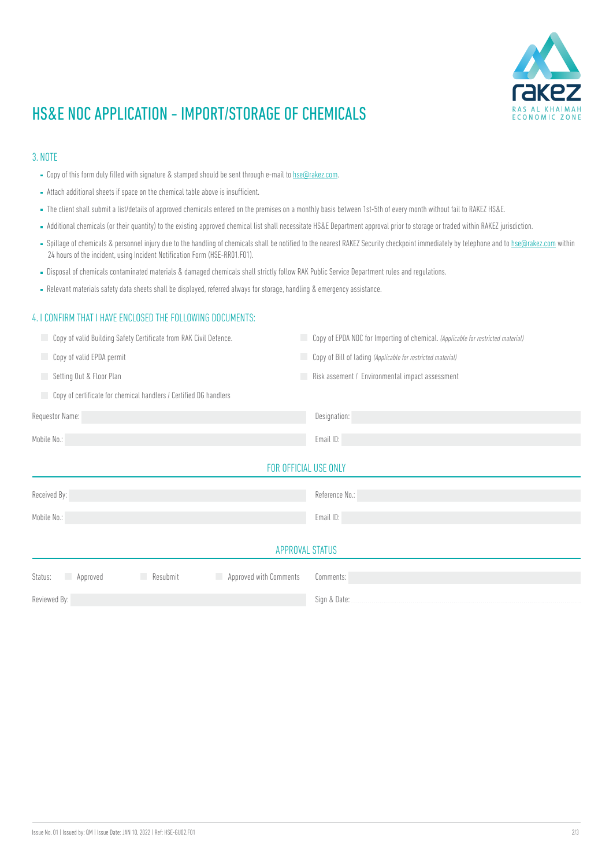

## HS&E NOC APPLICATION - IMPORT/STORAGE OF CHEMICALS

#### 3. NOTE

- **EXTENDED FILLED FILLED ENTER FOR STATE COPY OF THE STARK IS COPY OF THE SECOLAR EXTENDED FILLED** Scopy of this form duly filled with signature & stamped should be sent through e-mail to hse Corakez.com.
- Attach additional sheets if space on the chemical table above is insufficient.
- The client shall submit a list/details of approved chemicals entered on the premises on a monthly basis between 1st-5th of every month without fail to RAKEZ HS&E.
- Additional chemicals (or their quantity) to the existing approved chemical list shall necessitate HS&E Department approval prior to storage or traded within RAKEZ jurisdiction.
- $\blacksquare$  Spillage of chemicals & personnel injury due to the handling of chemicals shall be notified to the nearest RAKEZ Security checkpoint immediately by telephone and to [hse@rakez.com](mailto:hse%40rakez.com?subject=) within 24 hours of the incident, using Incident Notification Form (HSE-RR01.F01).
- Disposal of chemicals contaminated materials & damaged chemicals shall strictly follow RAK Public Service Department rules and regulations.
- Relevant materials safety data sheets shall be displayed, referred always for storage, handling & emergency assistance.

#### 4. I CONFIRM THAT I HAVE ENCLOSED THE FOLLOWING DOCUMENTS:

| Copy of valid Building Safety Certificate from RAK Civil Defence.<br>H  | Copy of EPDA NOC for Importing of chemical. (Applicable for restricted material) |  |  |  |  |
|-------------------------------------------------------------------------|----------------------------------------------------------------------------------|--|--|--|--|
| Copy of valid EPDA permit<br>m.                                         | Copy of Bill of lading (Applicable for restricted material)                      |  |  |  |  |
| Setting Out & Floor Plan<br>L.                                          | Risk assement / Environmental impact assessment                                  |  |  |  |  |
| Copy of certificate for chemical handlers / Certified DG handlers<br>m. |                                                                                  |  |  |  |  |
| Requestor Name:                                                         | Designation:                                                                     |  |  |  |  |
| Mobile No.:                                                             | Email ID:                                                                        |  |  |  |  |
| FOR OFFICIAL USE ONLY                                                   |                                                                                  |  |  |  |  |
| Received By:                                                            | Reference No.:                                                                   |  |  |  |  |
| Mobile No.:                                                             | Email ID:                                                                        |  |  |  |  |
| APPROVAL STATUS                                                         |                                                                                  |  |  |  |  |
| Approved<br>Status:<br>Approved with Comments<br>Resubmit<br>a a        | Comments:                                                                        |  |  |  |  |
| Reviewed By:                                                            | Sign & Date:                                                                     |  |  |  |  |